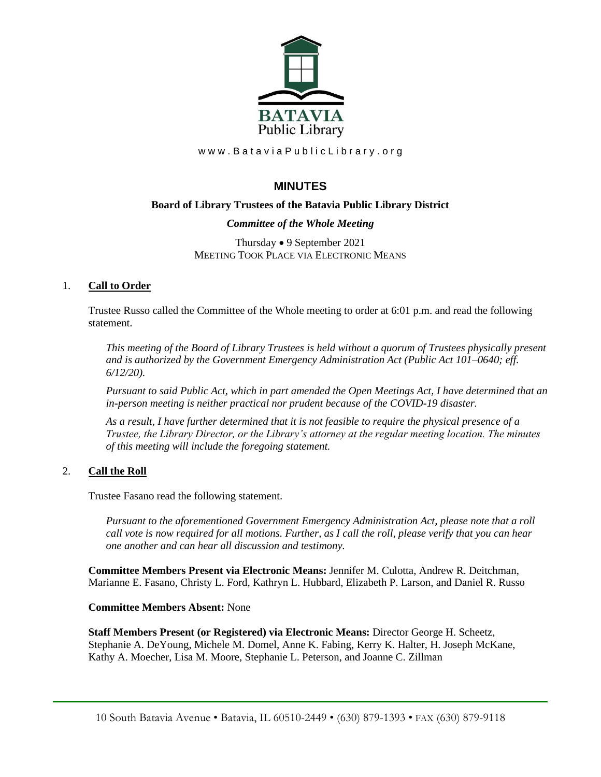

www.BataviaPublicLibrary.org

# **MINUTES**

## **Board of Library Trustees of the Batavia Public Library District**

## *Committee of the Whole Meeting*

Thursday • 9 September 2021 MEETING TOOK PLACE VIA ELECTRONIC MEANS

## 1. **Call to Order**

Trustee Russo called the Committee of the Whole meeting to order at 6:01 p.m. and read the following statement.

*This meeting of the Board of Library Trustees is held without a quorum of Trustees physically present and is authorized by the Government Emergency Administration Act (Public Act 101–0640; eff. 6/12/20).*

*Pursuant to said Public Act, which in part amended the Open Meetings Act, I have determined that an in-person meeting is neither practical nor prudent because of the COVID-19 disaster.*

*As a result, I have further determined that it is not feasible to require the physical presence of a Trustee, the Library Director, or the Library's attorney at the regular meeting location. The minutes of this meeting will include the foregoing statement.*

## 2. **Call the Roll**

Trustee Fasano read the following statement.

*Pursuant to the aforementioned Government Emergency Administration Act, please note that a roll call vote is now required for all motions. Further, as I call the roll, please verify that you can hear one another and can hear all discussion and testimony.*

**Committee Members Present via Electronic Means:** Jennifer M. Culotta, Andrew R. Deitchman, Marianne E. Fasano, Christy L. Ford, Kathryn L. Hubbard, Elizabeth P. Larson, and Daniel R. Russo

### **Committee Members Absent:** None

**Staff Members Present (or Registered) via Electronic Means:** Director George H. Scheetz, Stephanie A. DeYoung, Michele M. Domel, Anne K. Fabing, Kerry K. Halter, H. Joseph McKane, Kathy A. Moecher, Lisa M. Moore, Stephanie L. Peterson, and Joanne C. Zillman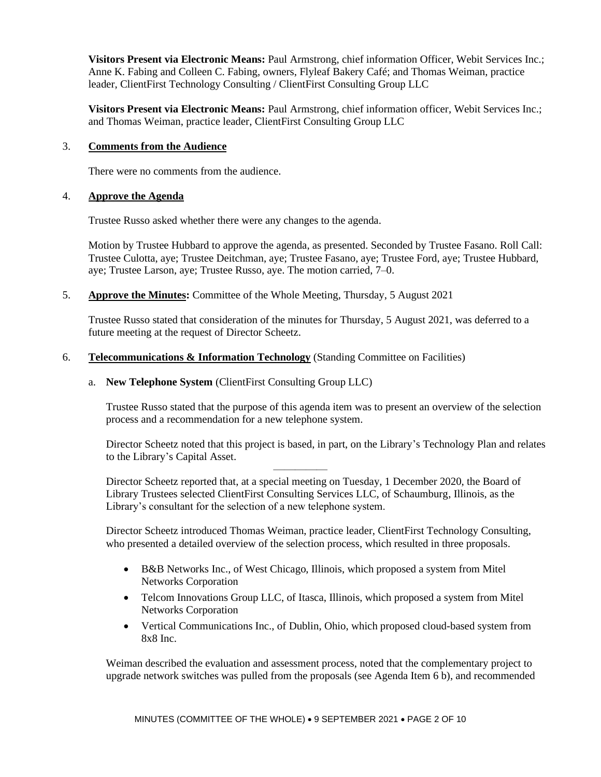**Visitors Present via Electronic Means:** Paul Armstrong, chief information Officer, Webit Services Inc.; Anne K. Fabing and Colleen C. Fabing, owners, Flyleaf Bakery Café; and Thomas Weiman, practice leader, ClientFirst Technology Consulting / ClientFirst Consulting Group LLC

**Visitors Present via Electronic Means:** Paul Armstrong, chief information officer, Webit Services Inc.; and Thomas Weiman, practice leader, ClientFirst Consulting Group LLC

### 3. **Comments from the Audience**

There were no comments from the audience.

#### 4. **Approve the Agenda**

Trustee Russo asked whether there were any changes to the agenda.

Motion by Trustee Hubbard to approve the agenda, as presented. Seconded by Trustee Fasano. Roll Call: Trustee Culotta, aye; Trustee Deitchman, aye; Trustee Fasano, aye; Trustee Ford, aye; Trustee Hubbard, aye; Trustee Larson, aye; Trustee Russo, aye. The motion carried, 7–0.

5. **Approve the Minutes:** Committee of the Whole Meeting, Thursday, 5 August 2021

Trustee Russo stated that consideration of the minutes for Thursday, 5 August 2021, was deferred to a future meeting at the request of Director Scheetz.

### 6. **Telecommunications & Information Technology** (Standing Committee on Facilities)

#### a. **New Telephone System** (ClientFirst Consulting Group LLC)

Trustee Russo stated that the purpose of this agenda item was to present an overview of the selection process and a recommendation for a new telephone system.

Director Scheetz noted that this project is based, in part, on the Library's Technology Plan and relates to the Library's Capital Asset.

Director Scheetz reported that, at a special meeting on Tuesday, 1 December 2020, the Board of Library Trustees selected ClientFirst Consulting Services LLC, of Schaumburg, Illinois, as the Library's consultant for the selection of a new telephone system.

—————

Director Scheetz introduced Thomas Weiman, practice leader, ClientFirst Technology Consulting, who presented a detailed overview of the selection process, which resulted in three proposals.

- B&B Networks Inc., of West Chicago, Illinois, which proposed a system from Mitel Networks Corporation
- Telcom Innovations Group LLC, of Itasca, Illinois, which proposed a system from Mitel Networks Corporation
- Vertical Communications Inc., of Dublin, Ohio, which proposed cloud-based system from 8x8 Inc.

Weiman described the evaluation and assessment process, noted that the complementary project to upgrade network switches was pulled from the proposals (see Agenda Item 6 b), and recommended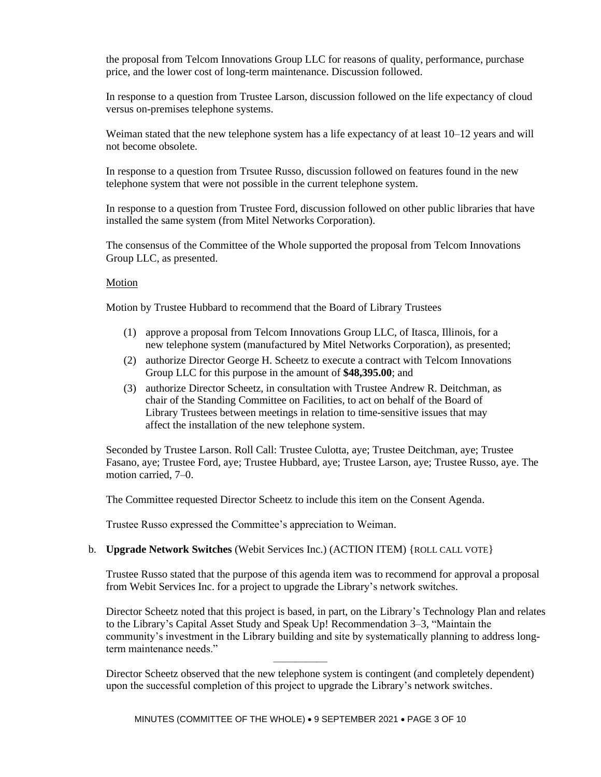the proposal from Telcom Innovations Group LLC for reasons of quality, performance, purchase price, and the lower cost of long-term maintenance. Discussion followed.

In response to a question from Trustee Larson, discussion followed on the life expectancy of cloud versus on-premises telephone systems.

Weiman stated that the new telephone system has a life expectancy of at least  $10-12$  years and will not become obsolete.

In response to a question from Trsutee Russo, discussion followed on features found in the new telephone system that were not possible in the current telephone system.

In response to a question from Trustee Ford, discussion followed on other public libraries that have installed the same system (from Mitel Networks Corporation).

The consensus of the Committee of the Whole supported the proposal from Telcom Innovations Group LLC, as presented.

#### Motion

Motion by Trustee Hubbard to recommend that the Board of Library Trustees

- (1) approve a proposal from Telcom Innovations Group LLC, of Itasca, Illinois, for a new telephone system (manufactured by Mitel Networks Corporation), as presented;
- (2) authorize Director George H. Scheetz to execute a contract with Telcom Innovations Group LLC for this purpose in the amount of **\$48,395.00**; and
- (3) authorize Director Scheetz, in consultation with Trustee Andrew R. Deitchman, as chair of the Standing Committee on Facilities, to act on behalf of the Board of Library Trustees between meetings in relation to time-sensitive issues that may affect the installation of the new telephone system.

Seconded by Trustee Larson. Roll Call: Trustee Culotta, aye; Trustee Deitchman, aye; Trustee Fasano, aye; Trustee Ford, aye; Trustee Hubbard, aye; Trustee Larson, aye; Trustee Russo, aye. The motion carried, 7–0.

The Committee requested Director Scheetz to include this item on the Consent Agenda.

Trustee Russo expressed the Committee's appreciation to Weiman.

#### b. **Upgrade Network Switches** (Webit Services Inc.) (ACTION ITEM) {ROLL CALL VOTE}

Trustee Russo stated that the purpose of this agenda item was to recommend for approval a proposal from Webit Services Inc. for a project to upgrade the Library's network switches.

Director Scheetz noted that this project is based, in part, on the Library's Technology Plan and relates to the Library's Capital Asset Study and Speak Up! Recommendation 3–3, "Maintain the community's investment in the Library building and site by systematically planning to address longterm maintenance needs."

Director Scheetz observed that the new telephone system is contingent (and completely dependent) upon the successful completion of this project to upgrade the Library's network switches.

—————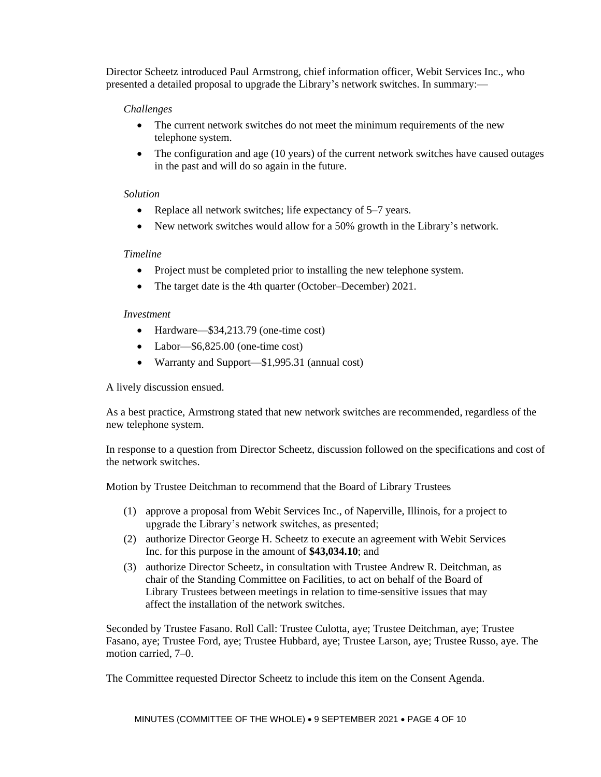Director Scheetz introduced Paul Armstrong, chief information officer, Webit Services Inc., who presented a detailed proposal to upgrade the Library's network switches. In summary:—

## *Challenges*

- The current network switches do not meet the minimum requirements of the new telephone system.
- The configuration and age (10 years) of the current network switches have caused outages in the past and will do so again in the future.

### *Solution*

- Replace all network switches; life expectancy of 5–7 years.
- New network switches would allow for a 50% growth in the Library's network.

## *Timeline*

- Project must be completed prior to installing the new telephone system.
- The target date is the 4th quarter (October–December) 2021.

### *Investment*

- Hardware—\$34,213.79 (one-time cost)
- Labor—\$6,825.00 (one-time cost)
- Warranty and Support—\$1,995.31 (annual cost)

A lively discussion ensued.

As a best practice, Armstrong stated that new network switches are recommended, regardless of the new telephone system.

In response to a question from Director Scheetz, discussion followed on the specifications and cost of the network switches.

Motion by Trustee Deitchman to recommend that the Board of Library Trustees

- (1) approve a proposal from Webit Services Inc., of Naperville, Illinois, for a project to upgrade the Library's network switches, as presented;
- (2) authorize Director George H. Scheetz to execute an agreement with Webit Services Inc. for this purpose in the amount of **\$43,034.10**; and
- (3) authorize Director Scheetz, in consultation with Trustee Andrew R. Deitchman, as chair of the Standing Committee on Facilities, to act on behalf of the Board of Library Trustees between meetings in relation to time-sensitive issues that may affect the installation of the network switches.

Seconded by Trustee Fasano. Roll Call: Trustee Culotta, aye; Trustee Deitchman, aye; Trustee Fasano, aye; Trustee Ford, aye; Trustee Hubbard, aye; Trustee Larson, aye; Trustee Russo, aye. The motion carried, 7–0.

The Committee requested Director Scheetz to include this item on the Consent Agenda.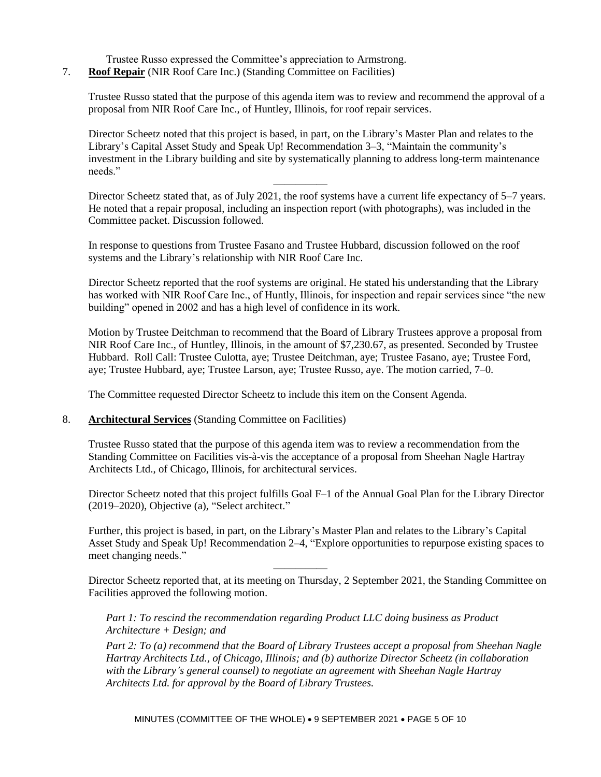- Trustee Russo expressed the Committee's appreciation to Armstrong.
- 7. **Roof Repair** (NIR Roof Care Inc.) (Standing Committee on Facilities)

Trustee Russo stated that the purpose of this agenda item was to review and recommend the approval of a proposal from NIR Roof Care Inc., of Huntley, Illinois, for roof repair services.

Director Scheetz noted that this project is based, in part, on the Library's Master Plan and relates to the Library's Capital Asset Study and Speak Up! Recommendation 3–3, "Maintain the community's investment in the Library building and site by systematically planning to address long-term maintenance needs."

Director Scheetz stated that, as of July 2021, the roof systems have a current life expectancy of 5–7 years. He noted that a repair proposal, including an inspection report (with photographs), was included in the Committee packet. Discussion followed.

In response to questions from Trustee Fasano and Trustee Hubbard, discussion followed on the roof systems and the Library's relationship with NIR Roof Care Inc.

—————

Director Scheetz reported that the roof systems are original. He stated his understanding that the Library has worked with NIR Roof Care Inc., of Huntly, Illinois, for inspection and repair services since "the new building" opened in 2002 and has a high level of confidence in its work.

Motion by Trustee Deitchman to recommend that the Board of Library Trustees approve a proposal from NIR Roof Care Inc., of Huntley, Illinois, in the amount of \$7,230.67, as presented. Seconded by Trustee Hubbard. Roll Call: Trustee Culotta, aye; Trustee Deitchman, aye; Trustee Fasano, aye; Trustee Ford, aye; Trustee Hubbard, aye; Trustee Larson, aye; Trustee Russo, aye. The motion carried, 7–0.

The Committee requested Director Scheetz to include this item on the Consent Agenda.

### 8. **Architectural Services** (Standing Committee on Facilities)

Trustee Russo stated that the purpose of this agenda item was to review a recommendation from the Standing Committee on Facilities vis-à-vis the acceptance of a proposal from Sheehan Nagle Hartray Architects Ltd., of Chicago, Illinois, for architectural services.

Director Scheetz noted that this project fulfills Goal F–1 of the Annual Goal Plan for the Library Director (2019–2020), Objective (a), "Select architect."

Further, this project is based, in part, on the Library's Master Plan and relates to the Library's Capital Asset Study and Speak Up! Recommendation 2–4, "Explore opportunities to repurpose existing spaces to meet changing needs."

Director Scheetz reported that, at its meeting on Thursday, 2 September 2021, the Standing Committee on Facilities approved the following motion.

*Part 1: To rescind the recommendation regarding Product LLC doing business as Product Architecture + Design; and*

—————

*Part 2: To (a) recommend that the Board of Library Trustees accept a proposal from Sheehan Nagle Hartray Architects Ltd., of Chicago, Illinois; and (b) authorize Director Scheetz (in collaboration with the Library's general counsel) to negotiate an agreement with Sheehan Nagle Hartray Architects Ltd. for approval by the Board of Library Trustees.*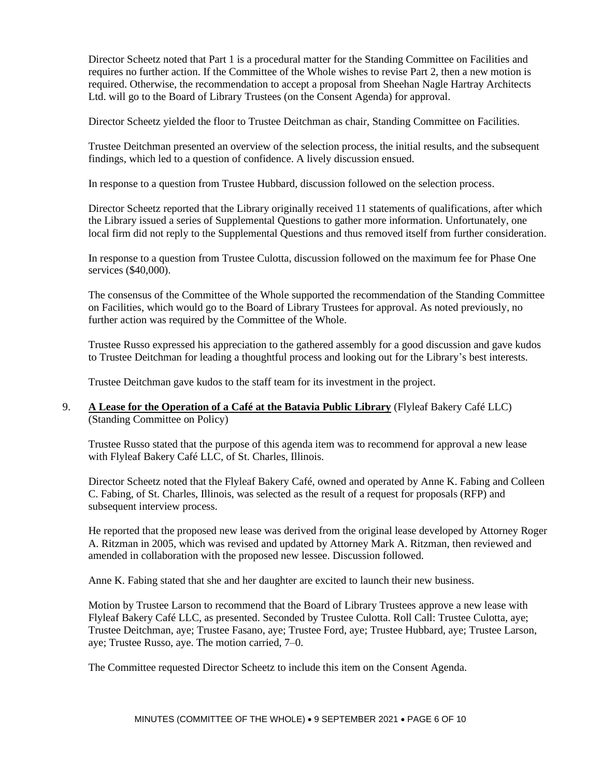Director Scheetz noted that Part 1 is a procedural matter for the Standing Committee on Facilities and requires no further action. If the Committee of the Whole wishes to revise Part 2, then a new motion is required. Otherwise, the recommendation to accept a proposal from Sheehan Nagle Hartray Architects Ltd. will go to the Board of Library Trustees (on the Consent Agenda) for approval.

Director Scheetz yielded the floor to Trustee Deitchman as chair, Standing Committee on Facilities.

Trustee Deitchman presented an overview of the selection process, the initial results, and the subsequent findings, which led to a question of confidence. A lively discussion ensued.

In response to a question from Trustee Hubbard, discussion followed on the selection process.

Director Scheetz reported that the Library originally received 11 statements of qualifications, after which the Library issued a series of Supplemental Questions to gather more information. Unfortunately, one local firm did not reply to the Supplemental Questions and thus removed itself from further consideration.

In response to a question from Trustee Culotta, discussion followed on the maximum fee for Phase One services (\$40,000).

The consensus of the Committee of the Whole supported the recommendation of the Standing Committee on Facilities, which would go to the Board of Library Trustees for approval. As noted previously, no further action was required by the Committee of the Whole.

Trustee Russo expressed his appreciation to the gathered assembly for a good discussion and gave kudos to Trustee Deitchman for leading a thoughtful process and looking out for the Library's best interests.

Trustee Deitchman gave kudos to the staff team for its investment in the project.

## 9. **A Lease for the Operation of a Café at the Batavia Public Library** (Flyleaf Bakery Café LLC) (Standing Committee on Policy)

Trustee Russo stated that the purpose of this agenda item was to recommend for approval a new lease with Flyleaf Bakery Café LLC, of St. Charles, Illinois.

Director Scheetz noted that the Flyleaf Bakery Café, owned and operated by Anne K. Fabing and Colleen C. Fabing, of St. Charles, Illinois, was selected as the result of a request for proposals (RFP) and subsequent interview process.

He reported that the proposed new lease was derived from the original lease developed by Attorney Roger A. Ritzman in 2005, which was revised and updated by Attorney Mark A. Ritzman, then reviewed and amended in collaboration with the proposed new lessee. Discussion followed.

Anne K. Fabing stated that she and her daughter are excited to launch their new business.

Motion by Trustee Larson to recommend that the Board of Library Trustees approve a new lease with Flyleaf Bakery Café LLC, as presented. Seconded by Trustee Culotta. Roll Call: Trustee Culotta, aye; Trustee Deitchman, aye; Trustee Fasano, aye; Trustee Ford, aye; Trustee Hubbard, aye; Trustee Larson, aye; Trustee Russo, aye. The motion carried, 7–0.

The Committee requested Director Scheetz to include this item on the Consent Agenda.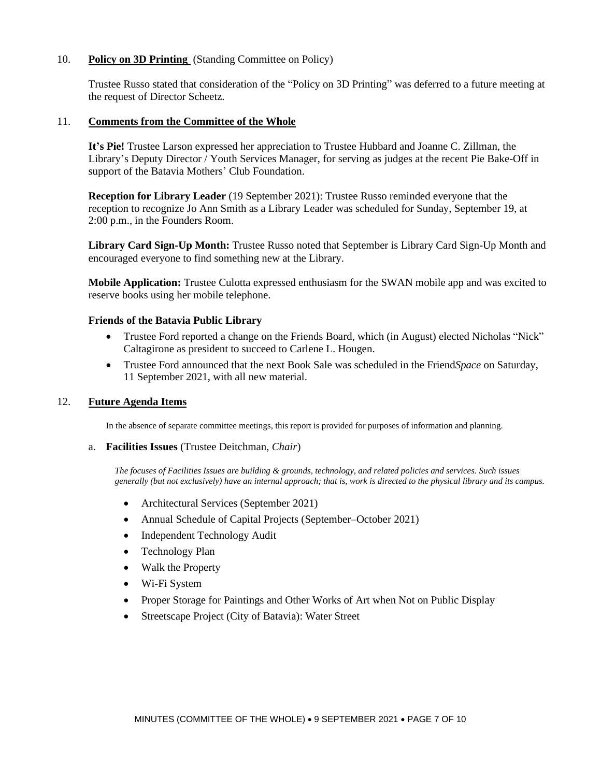## 10. **Policy on 3D Printing** (Standing Committee on Policy)

Trustee Russo stated that consideration of the "Policy on 3D Printing" was deferred to a future meeting at the request of Director Scheetz.

#### 11. **Comments from the Committee of the Whole**

**It's Pie!** Trustee Larson expressed her appreciation to Trustee Hubbard and Joanne C. Zillman, the Library's Deputy Director / Youth Services Manager, for serving as judges at the recent Pie Bake-Off in support of the Batavia Mothers' Club Foundation.

**Reception for Library Leader** (19 September 2021): Trustee Russo reminded everyone that the reception to recognize Jo Ann Smith as a Library Leader was scheduled for Sunday, September 19, at 2:00 p.m., in the Founders Room.

**Library Card Sign-Up Month:** Trustee Russo noted that September is Library Card Sign-Up Month and encouraged everyone to find something new at the Library.

**Mobile Application:** Trustee Culotta expressed enthusiasm for the SWAN mobile app and was excited to reserve books using her mobile telephone.

#### **Friends of the Batavia Public Library**

- Trustee Ford reported a change on the Friends Board, which (in August) elected Nicholas "Nick" Caltagirone as president to succeed to Carlene L. Hougen.
- Trustee Ford announced that the next Book Sale was scheduled in the Friend*Space* on Saturday, 11 September 2021, with all new material.

### 12. **Future Agenda Items**

In the absence of separate committee meetings, this report is provided for purposes of information and planning.

#### a. **Facilities Issues** (Trustee Deitchman, *Chair*)

*The focuses of Facilities Issues are building & grounds, technology, and related policies and services. Such issues generally (but not exclusively) have an internal approach; that is, work is directed to the physical library and its campus.*

- Architectural Services (September 2021)
- Annual Schedule of Capital Projects (September–October 2021)
- Independent Technology Audit
- Technology Plan
- Walk the Property
- Wi-Fi System
- Proper Storage for Paintings and Other Works of Art when Not on Public Display
- Streetscape Project (City of Batavia): Water Street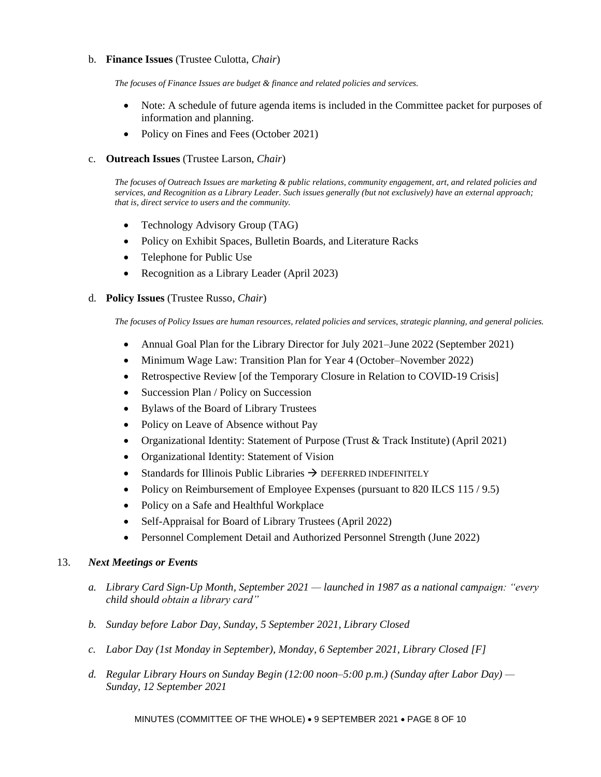### b. **Finance Issues** (Trustee Culotta, *Chair*)

*The focuses of Finance Issues are budget & finance and related policies and services.*

- Note: A schedule of future agenda items is included in the Committee packet for purposes of information and planning.
- Policy on Fines and Fees (October 2021)

#### c. **Outreach Issues** (Trustee Larson, *Chair*)

*The focuses of Outreach Issues are marketing & public relations, community engagement, art, and related policies and services, and Recognition as a Library Leader. Such issues generally (but not exclusively) have an external approach; that is, direct service to users and the community.*

- Technology Advisory Group (TAG)
- Policy on Exhibit Spaces, Bulletin Boards, and Literature Racks
- Telephone for Public Use
- Recognition as a Library Leader (April 2023)

#### d. **Policy Issues** (Trustee Russo, *Chair*)

*The focuses of Policy Issues are human resources, related policies and services, strategic planning, and general policies.*

- Annual Goal Plan for the Library Director for July 2021–June 2022 (September 2021)
- Minimum Wage Law: Transition Plan for Year 4 (October–November 2022)
- Retrospective Review [of the Temporary Closure in Relation to COVID-19 Crisis]
- Succession Plan / Policy on Succession
- Bylaws of the Board of Library Trustees
- Policy on Leave of Absence without Pay
- Organizational Identity: Statement of Purpose (Trust & Track Institute) (April 2021)
- Organizational Identity: Statement of Vision
- Standards for Illinois Public Libraries  $\rightarrow$  DEFERRED INDEFINITELY
- Policy on Reimbursement of Employee Expenses (pursuant to 820 ILCS 115 / 9.5)
- Policy on a Safe and Healthful Workplace
- Self-Appraisal for Board of Library Trustees (April 2022)
- Personnel Complement Detail and Authorized Personnel Strength (June 2022)

#### 13. *Next Meetings or Events*

- *a. Library Card Sign-Up Month, September 2021 — launched in 1987 as a national campaign: "every child should obtain a library card"*
- *b. Sunday before Labor Day, Sunday, 5 September 2021, Library Closed*
- *c. Labor Day (1st Monday in September), Monday, 6 September 2021, Library Closed [F]*
- *d. Regular Library Hours on Sunday Begin (12:00 noon–5:00 p.m.) (Sunday after Labor Day) — Sunday, 12 September 2021*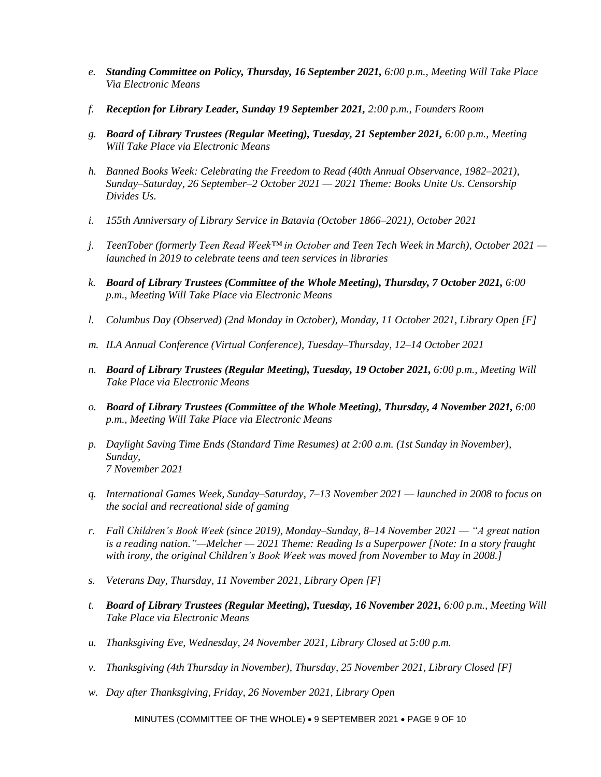- *e. Standing Committee on Policy, Thursday, 16 September 2021, 6:00 p.m., Meeting Will Take Place Via Electronic Means*
- *f. Reception for Library Leader, Sunday 19 September 2021, 2:00 p.m., Founders Room*
- *g. Board of Library Trustees (Regular Meeting), Tuesday, 21 September 2021, 6:00 p.m., Meeting Will Take Place via Electronic Means*
- *h. Banned Books Week: Celebrating the Freedom to Read (40th Annual Observance, 1982–2021), Sunday–Saturday, 26 September–2 October 2021 — 2021 Theme: Books Unite Us. Censorship Divides Us.*
- *i. 155th Anniversary of Library Service in Batavia (October 1866–2021), October 2021*
- *j. TeenTober (formerly Teen Read Week™ in October and Teen Tech Week in March), October 2021 launched in 2019 to celebrate teens and teen services in libraries*
- *k. Board of Library Trustees (Committee of the Whole Meeting), Thursday, 7 October 2021, 6:00 p.m., Meeting Will Take Place via Electronic Means*
- *l. Columbus Day (Observed) (2nd Monday in October), Monday, 11 October 2021, Library Open [F]*
- *m. ILA Annual Conference (Virtual Conference), Tuesday–Thursday, 12–14 October 2021*
- *n. Board of Library Trustees (Regular Meeting), Tuesday, 19 October 2021, 6:00 p.m., Meeting Will Take Place via Electronic Means*
- *o. Board of Library Trustees (Committee of the Whole Meeting), Thursday, 4 November 2021, 6:00 p.m., Meeting Will Take Place via Electronic Means*
- *p. Daylight Saving Time Ends (Standard Time Resumes) at 2:00 a.m. (1st Sunday in November), Sunday, 7 November 2021*
- *q. International Games Week, Sunday–Saturday, 7–13 November 2021 — launched in 2008 to focus on the social and recreational side of gaming*
- *r. Fall Children's Book Week (since 2019), Monday–Sunday, 8–14 November 2021 — "A great nation is a reading nation."—Melcher — 2021 Theme: Reading Is a Superpower [Note: In a story fraught with irony, the original Children's Book Week was moved from November to May in 2008.]*
- *s. Veterans Day, Thursday, 11 November 2021, Library Open [F]*
- *t. Board of Library Trustees (Regular Meeting), Tuesday, 16 November 2021, 6:00 p.m., Meeting Will Take Place via Electronic Means*
- *u. Thanksgiving Eve, Wednesday, 24 November 2021, Library Closed at 5:00 p.m.*
- *v. Thanksgiving (4th Thursday in November), Thursday, 25 November 2021, Library Closed [F]*
- *w. Day after Thanksgiving, Friday, 26 November 2021, Library Open*

MINUTES (COMMITTEE OF THE WHOLE) • 9 SEPTEMBER 2021 • PAGE 9 OF 10